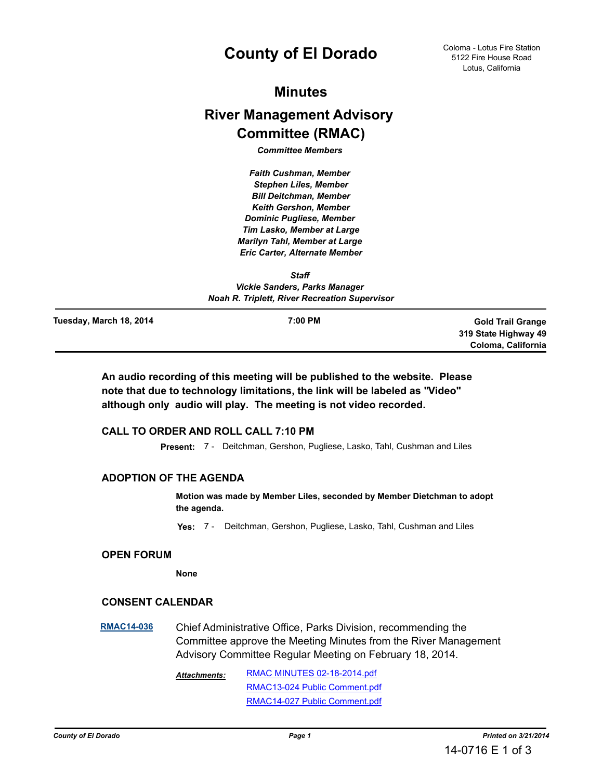# **County of El Dorado**

# **Minutes**

# **River Management Advisory Committee (RMAC)**

*Committee Members* 

*Faith Cushman, Member Stephen Liles, Member Bill Deitchman, Member Keith Gershon, Member Dominic Pugliese, Member Tim Lasko, Member at Large Marilyn Tahl, Member at Large Eric Carter, Alternate Member*

*Staff Vickie Sanders, Parks Manager Noah R. Triplett, River Recreation Supervisor*

**Tuesday, March 18, 2014**

**7:00 PM Gold Trail Grange 319 State Highway 49 Coloma, California**

**An audio recording of this meeting will be published to the website. Please note that due to technology limitations, the link will be labeled as "Video" although only audio will play. The meeting is not video recorded.**

# **CALL TO ORDER AND ROLL CALL 7:10 PM**

**Present:** 7 - Deitchman, Gershon, Pugliese, Lasko, Tahl, Cushman and Liles

# **ADOPTION OF THE AGENDA**

**Motion was made by Member Liles, seconded by Member Dietchman to adopt the agenda.**

**Yes:** 7 - Deitchman, Gershon, Pugliese, Lasko, Tahl, Cushman and Liles

## **OPEN FORUM**

**None**

## **CONSENT CALENDAR**

**[RMAC14-036](http://eldorado.legistar.com/gateway.aspx?m=l&id=/matter.aspx?key=17845)** Chief Administrative Office, Parks Division, recommending the Committee approve the Meeting Minutes from the River Management Advisory Committee Regular Meeting on February 18, 2014.

> [RMAC MINUTES 02-18-2014.pdf](http://ElDorado.legistar.com/gateway.aspx?M=F&ID=9bb749e8-7b60-43ca-a244-b8f6adc92d3d.pdf) [RMAC13-024 Public Comment.pdf](http://ElDorado.legistar.com/gateway.aspx?M=F&ID=e1044ee3-38e5-45b8-acea-4c4d9677e186.pdf) [RMAC14-027 Public Comment.pdf](http://ElDorado.legistar.com/gateway.aspx?M=F&ID=cf9c1c8f-950a-410f-8d1f-02f3afbb0794.pdf) *Attachments:*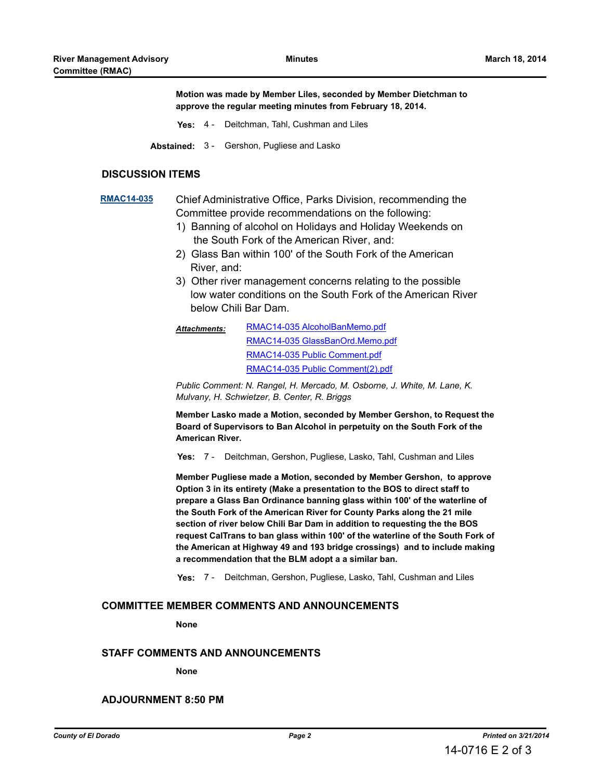**Motion was made by Member Liles, seconded by Member Dietchman to approve the regular meeting minutes from February 18, 2014.**

- **Yes:** 4 Deitchman, Tahl, Cushman and Liles
- **Abstained:** 3 Gershon, Pugliese and Lasko

#### **DISCUSSION ITEMS**

# **[RMAC14-035](http://eldorado.legistar.com/gateway.aspx?m=l&id=/matter.aspx?key=17844)** Chief Administrative Office, Parks Division, recommending the Committee provide recommendations on the following:

- 1) Banning of alcohol on Holidays and Holiday Weekends on the South Fork of the American River, and:
- 2) Glass Ban within 100' of the South Fork of the American River, and:
- 3) Other river management concerns relating to the possible low water conditions on the South Fork of the American River below Chili Bar Dam.
- [RMAC14-035 AlcoholBanMemo.pdf](http://ElDorado.legistar.com/gateway.aspx?M=F&ID=fe71b7ee-dc9c-4448-b2de-7a9e54f160bf.pdf) [RMAC14-035 GlassBanOrd.Memo.pdf](http://ElDorado.legistar.com/gateway.aspx?M=F&ID=ff8ddb72-3602-4e32-aebd-37d887c28622.pdf) [RMAC14-035 Public Comment.pdf](http://ElDorado.legistar.com/gateway.aspx?M=F&ID=056af8a5-eed1-4959-a534-f0a23e4e4894.pdf) [RMAC14-035 Public Comment\(2\).pdf](http://ElDorado.legistar.com/gateway.aspx?M=F&ID=ce509792-1c61-4457-b18e-b4a46654d879.pdf) *Attachments:*

*Public Comment: N. Rangel, H. Mercado, M. Osborne, J. White, M. Lane, K. Mulvany, H. Schwietzer, B. Center, R. Briggs*

**Member Lasko made a Motion, seconded by Member Gershon, to Request the Board of Supervisors to Ban Alcohol in perpetuity on the South Fork of the American River.**

**Yes:** 7 - Deitchman, Gershon, Pugliese, Lasko, Tahl, Cushman and Liles

**Member Pugliese made a Motion, seconded by Member Gershon, to approve Option 3 in its entirety (Make a presentation to the BOS to direct staff to prepare a Glass Ban Ordinance banning glass within 100' of the waterline of the South Fork of the American River for County Parks along the 21 mile section of river below Chili Bar Dam in addition to requesting the the BOS request CalTrans to ban glass within 100' of the waterline of the South Fork of the American at Highway 49 and 193 bridge crossings) and to include making a recommendation that the BLM adopt a a similar ban.**

**Yes:** 7 - Deitchman, Gershon, Pugliese, Lasko, Tahl, Cushman and Liles

# **COMMITTEE MEMBER COMMENTS AND ANNOUNCEMENTS**

**None**

#### **STAFF COMMENTS AND ANNOUNCEMENTS**

#### **None**

## **ADJOURNMENT 8:50 PM**